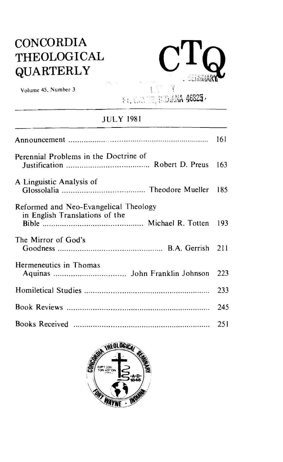# **CONCORDIA THEOLOGICAL QUARTERLY**



. , volume 45, Number **3** . . **<sup>y</sup>**. , . , - . *rCqm* **t-:** . , - **<sup>1</sup> <sup>t</sup>**., ;.;.; . .-- ; ; ,. *<sup>2</sup>***i;:\*;5,,** 4~~3 .\*

## **JULY 1981**

|                                                                         | 161  |
|-------------------------------------------------------------------------|------|
| Perennial Problems in the Doctrine of                                   | 163  |
| A Linguistic Analysis of                                                | 185  |
| Reformed and Neo-Evangelical Theology<br>in English Translations of the | 193  |
| The Mirror of God's                                                     |      |
| Hermeneutics in Thomas                                                  | 223  |
|                                                                         | 233  |
|                                                                         | 245  |
|                                                                         | 25 I |

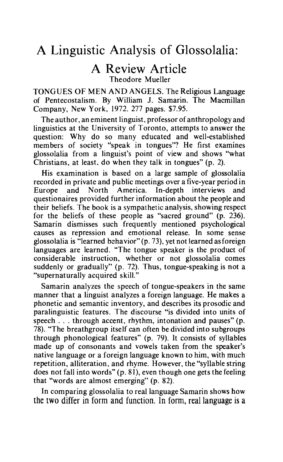## A Linguistic Analysis of Glossolalia:

## A Review Article Theodore Mueller

TONGUES OF MEN AND ANGELS. The Religious Language of Pentecostalism. By William J. Samarin. The Macmillan Company, New York, 1972. 277 pages. \$7.95.

The author, an eminent linguist, professor of anthropology and linguistics at the University of Toronto, attempts to answer the question: Why do so many educated and well-established members of society "speak in tongues"? He first examines glossolalia from a linguist's point of view and shows "what Christians, at least. do when they talk in tongues" (p. 2).

His examination is based on a large sample of glossolalia recorded in private and public meetings over a five-year period in Europe and North America. In-depth interviews and questionaires provided further information about the people and their beliefs. The book is a sympathetic analysis, showing respect for the beliefs of these people as "sacred ground" (p. 236). Samarin dismisses such frequently mentioned psychological causes as repression and emotional release. In some sense glossolalia is "learned behavior" (p. 73), yet not learned as foreign languages are learned. "The tongue speaker is the product of considerable instruction, whether or not glossolalia comes suddenly or gradually" (p. 72). Thus, tongue-speaking is not a "supernaturally acquired skill."

Samarin analyzes the speech of tongue-speakers in the same manner that a linguist analyzes a foreign language. He makes a phonetic and semantic inventory, and describes its prosodic and paralinguistic features. The discourse "is divided into units of speech . . . through accent, rhythm, intonation and pauses" (p. 78). "The breathgroup itself can often be divided into subgroups through phonological features" (p. 79). It consists of syllables made up of consonants and vowels taken from the speaker's native language or a foreign language known to him, with much repetition, alliteration, and rhyme. However, the "syllable string does not fall into words" (p. **81),** even though one gets the feeling that "words are almost emerging" (p. 82).

In comparing glossolalia to real language Samarin shows how the two differ in form and function. In form, real language is a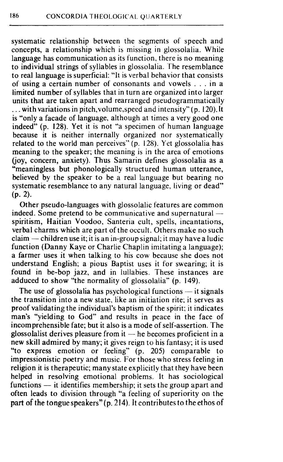systematic relationship between the segments of speech and concepts, a relationship which is missing in glossolalia. While language has communication as its function, there is no meaning to individual strings of syllables in glossolalia. The resemblance to real language is superficial: "It is verbal behavior that consists of using a certain number of consonants and vowels . . . in a limited number of syllables that in turn are organized into larger units that are taken apart and rearranged pseudogrammatically ... with variations in pitch, volume, speed and intensity" (p. 120). It is "only a facade of language, although at times a very good one indeed" (p. 128). Yet it is not "a specimen of human language because it is neither internally organized nor systematically related to the world man perceives"  $(p. 128)$ . Yet glossolalia has meaning to the speaker; the meaning is in the area of emotions (joy, concern, anxiety). Thus Samarin defines glossolalia as a "meaningless but phonologically structured human utterance, believed by the speaker to be a real language but bearing no systematic resemblance to any natural language, living or dead" (P. **2).** 

Other pseudo-languages with glossolalic features are common indeed. Some pretend to be communicative and supernatural  $$ spiritism, Haitian Voodoo, Santeria cult, spells, incantations, verbal charms which are part of the occult. Others make no such spiritism, Haitian Voodoo, Santeria cult, spells, incantations,<br>verbal charms which are part of the occult. Others make no such<br>claim — children use it; it is an in-group signal; it may have a ludic function (Danny Kaye or Charlie Chaplin imitating a language); a farmer uses it when talking to his cow because she does not understand English; a pious Baptist uses it for swearing; it is found in be-bop jazz, and in lullabies. These instances are adduced to show "the normality of glossolalia" (p. 149).

The use of glossolalia has psychological functions  $-$  it signals the transition into a new state, like an initiation rite; it serves as proof validating the individual's baptism of the spirit; it indicates man's "yielding to God" and results in peace in the face of incomprehensible fate; but it also is a mode of self-assertion. The glossolalist derives pleasure from  $it -$  he becomes proficient in a new skill admired by many; it gives reign to his fantasy; it is used "to express emotion or feeling" (p. 205) comparable to impressionistic poetry and music. For those who stress feeling in religion it is therapeutic; many state explicitly that they have been helped in resolving emotional problems. It has sociological religion it is therapeutic; many state explicitly that they have been<br>helped in resolving emotional problems. It has sociological<br>functions — it identifies membership; it sets the group apart and often leads to division through "a feeling of superiority on the part of the tongue speakers" $(p, 214)$ . It contributes to the ethos of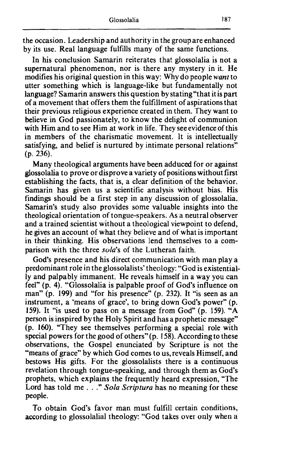the occasion. Leadership and authority in the group are enhanced by its use. Real language fulfills many of the same functions.

In his conclusion Samarin reiterates that glossolalia is not a supernatural phenomenon, nor is there any mystery in it. He modifies his original question in this way: Why do people want to utter something which is language-like but fundamentally not language? Samarin answers this question by stating "that it is part of a movement that offers them the fulfillment of aspirations that their previous religious experience created in them. They want to believe in God passionately, to know the delight of communion with Him and to see Him at work in life. They see evidence of this in members of the charismatic movement. It is intellectually satisfying, and belief is nurtured by intimate personal relations"  $(p. 236)$ .

Many theological arguments have been adduced for or against glossolalia to prove or disprove a variety of positions without first establishing the facts, that is, a clear definition of the behavior. Samarin has given us a scientific analysis without bias. His findings should be a first step in any discussion of glossolalia. Samarin's study also provides some valuable insights into the theological orientation of tongue-speakers. As a neutral observer and a trained scientist without a theological viewpoint to defend, he gives an account of what they believe and of what is important in their thinking. His observations lend themselves to a comparison with the three sola's of the Lutheran faith.

God's presence and his direct communication with man play a predominant role in the g!ossolalists' theology: "God is existentially and palpably immanent. He reveals himself in a way you can feel" (p. 4). "Glossolalia is palpable proof of God's influence on man" (p. 199) and "for his presence" (p. 232). It "is seen as an instrument, a 'means of grace', to bring down God's power" (p. 159). It "is used to pass on a message from God" (p. 159). "A person is inspired by the Holy Spirit and has a prophetic message" (p. 160). "They see themselves performing a special role with special powers for the good of others" $(p. 158)$ . According to these observations, the Gospel enunciated by Scripture is not the "means of grace" by which God comes to us, reveals Himself, and bestows His gifts. For the glossolalists there is a continuous revelation through tongue-speaking, and through them as God's prophets, which explains the frequently heard expression, "The Lord has told me . . ." Sola Scriptura has no meaning for these people.

To obtain God's favor man must fulfill certain conditions, according to glossolalia1 theology: "God takes over only when a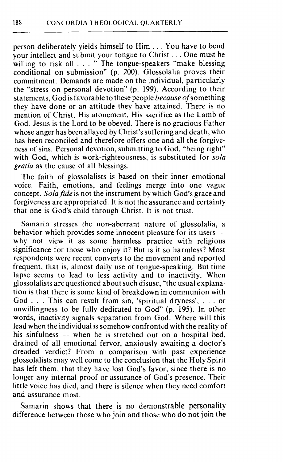person deliberately yields himself to Him . . . You have to bend your intellect and submit your tongue to Christ . . . One must be willing to risk all . . . " The tongue-speakers "make blessing conditional on submission" (p. 200). Glossolalia proves their commitment. Demands are made on the individual, particularly the "stress on personal devotion" (p. 199). According to their statements, God is favorable to these people *because of* something they have done or an attitude they have attained. There is no mention of Christ, His atonement, His sacrifice as the Lamb of God. Jesus is the Lord to be obeyed. There is no gracious Father whose anger has been allayed by Christ's suffering and death, who has been reconciled and therefore offers one and all the forgiveness of sins. Personal devotion, submitting to God, "being right" with God, which is work-righteousness, is substituted for *sola gratia* as the cause of all blessings.

The faith of glossolalists is based on their inner emotional voice. Faith, emotions, and feelings merge into one vague concept. *Sola fide* is not the instrument by which God's grace and forgiveness are appropriated. It is not the assurance and certainty that one is God's child through Christ. It is not trust.

Samarin stresses the non-aberrant nature of glossolalia, a behavior which provides some innocent pleasure for its users  $$ why not view it as some harmless practice with religious significance for those who enjoy it? But is it so harmless? Most respondents were recent converts to the movement and reported frequent, that is, almost daily use of tongue-speaking. But time lapse seems to lead to less activity and to inactivity. When glossolalists are questioned about such disuse, "the usual explanation is that there is some kind of breakdown in communion with God . . . This can result from sin, 'spiritual dryness', . . . or unwillingness to be fully dedicated to God" (p. 195). In other words, inactivity signals separation from God. Where will this lead when the individual is somehow confronted with the reality of words, inactivity signals separation from God. Where will this<br>lead when the individual is somehow confronted with the reality of<br>his sinfulness — when he is stretched out on a hospital bed, drained of all emotional fervor, anxiously awaiting a doctor's dreaded verdict'? From a comparison with past experience glossolalists may well come to the conclusion that the Holy Spirit has left them, that they have lost God's favor, since there is no longer any internal proof or assurance of God's presence. Their little voice has died, and there is silence when they need comfort and assurance most.

Samarin shows that there is no demonstrable personality difference between those who join and those who do not join the

188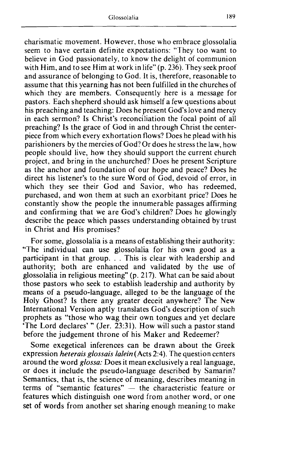charismatic movement. However. those who embrace glossolalia seem to have certain definite expectations: "They too want to believe in God passionately, to know the delight of communion with Him, and to see Him at work in life" (p. 236). They seek proof and assurance of belonging to God. It is, therefore, reasonable to assume that this yearning has not been fulfilled in the churches of which they are members. Consequently here is a message for pastors. Each shepherd should ask himself a few questions about his preaching and teaching: Does he present God's love and mercy in each sermon? Is Christ's reconciliation the focal point of all preaching? Is the grace of God in and through Christ the centerpiece from which every exhortation flows? Does he plead with his parishioners by the mercies of God? Or does he stress the law, how people should live, how they should support the current church project, and bring in the unchurched? Does he present Scripture as the anchor and foundation of our hope and peace? Does he direct his listener's to the sure Word of God, devoid of error, in which they see their God and Savior, who has redeemed, purchased, and won them at such an exorbitant price'? Does he constantly show the people the innumerable passages affirming and confirming that we are God's children? Does he glowingly describe the peace which passes understanding obtained by trust in Christ and His promises'?

For some, glossolalia is a means of establishing their authority: "The individual can use glossolalia for his own good as a participant in that group. . . This is clear with leadership and authority; both are enhanced and validated by the use of glossolalia in religious meeting" (p. 217). What can be said about those pastors who seek to establish leadership and authority by means of a pseudo-language, alleged to be the language of the Holy Ghost? Is there any greater deceit anywhere? The New International Version aptly translates God's description of such prophets as "those who wag their own tongues and yet declare 'The Lord declares' " (Jer. **23:3** 1). How will such a pastor stand before the judgement throne of his Maker and Redeemer?

Some exegetical inferences can be drawn about the Greek expression *heterais glossais lalein* (Acts 2:4). The question centers around the word *glossa:* Does it mean exclusively a real language, or does it include the pseudo-language described by Samarin? Semantics, that is, the science of meaning, describes meaning in or does it include the pseudo-language described by Samarin?<br>Semantics, that is, the science of meaning, describes meaning in<br>terms of "semantic features" -- the characteristic feature or features which distinguish one word from another word, or one **set** of words from another set sharing enough meaning to make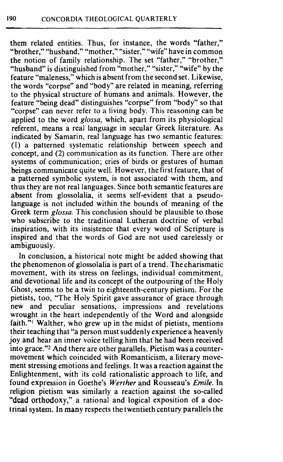them related entities. Thus, for instance, the words "father," "brother," "husband," "mother," "sister," "wife" have in common the notion of family relationship. The set "father," "brother," "husband" is distinguished from "mother," "sister," "wife" by the feature "maleness," which is absent from the second set. Likewise, the words "corpse" and "body" are related in meaning, referring to the physical structure of humans and animals. However, the feature "being dead" distinguishes "corpse" from "body" so that "corpse" can never refer to a living body. This reasoning can be applied to the word glossa, which, apart from its physiological referent, means a real language in secular Greek literature. As indicated by Samarin, real language has two semantic features: (I) a patterned systematic relationship between speech and concept, and (2) communication as its function. There are other systems of communication; cries of birds or gestures of human beings communicate quite well. However, the first feature, that of a patterned symbolic system, is not associated with them, and thus they are not real languages. Since both semantic features are absent from glossolalia, it seems self-evident that a pseudolanguage is not included within the bounds of meaning of the Greek term glossa. This conclusion should be plausible to those who subscribe to the traditional Lutheran doctrine of verbal inspiration, with its insistence that every word of Scripture is inspired and that the words of God are not used carelessly or ambiguously.

In conclusion, a historical note might be added showing that the phenomenon of glossolalia is part of a trend. Thecharismatic movement, with its stress on feelings, individual commitment, and devotional life and its concept of the outpouring of the Holy Ghost, seems to be a twin to eighteenth-century pietism. For the pietists, too, "The Holy Spirit gave assurance of grace through new and peculiar sensations, impressions and revelations wrought in the heart independently of the Word and alongside faith."<sup>1</sup> Walther, who grew up in the midst of pietists, mentions their teaching that "a person must suddenly experience a heavenly joy and hear an inner voice telling him that he had been received into grace."<sup>2</sup> And there are other parallels. Pietism was a countermovement which coincided with Romanticism, a literary movement stressing emotions and feelings. It was a reaction against the Enlightenment, with its cold rationalistic approach to life, and found expression in Goethe's *Werther* and Rousseau's *Emile.* In religion pietism was similarly a reaction against the so-called **"dead orthodoxy,"** a rational and logical exposition of a doctrinal system. In **many** respects the twentieth century parallels the